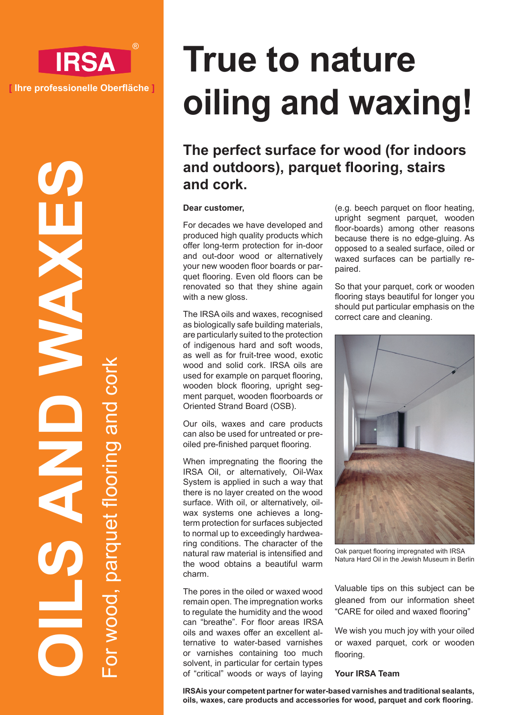

**OILS AND WAXES** For wood, parquet flooring and cork parquet flooring and OL MO

# **True to nature oiling and waxing!**

# **The perfect surface for wood (for indoors and outdoors), parquet flooring, stairs and cork.**

#### **Dear customer,**

For decades we have developed and produced high quality products which offer long-term protection for in-door and out-door wood or alternatively your new wooden floor boards or parquet flooring. Even old floors can be renovated so that they shine again with a new gloss.

The IRSA oils and waxes, recognised as biologically safe building materials, are particularly suited to the protection of indigenous hard and soft woods, as well as for fruit-tree wood, exotic wood and solid cork. IRSA oils are used for example on parquet flooring, wooden block flooring, upright segment parquet, wooden floorboards or Oriented Strand Board (OSB).

Our oils, waxes and care products can also be used for untreated or preoiled pre-finished parquet flooring.

When impregnating the flooring the IRSA Oil, or alternatively, Oil-Wax System is applied in such a way that there is no layer created on the wood surface. With oil, or alternatively, oilwax systems one achieves a longterm protection for surfaces subjected to normal up to exceedingly hardwearing conditions. The character of the natural raw material is intensified and the wood obtains a beautiful warm charm.

The pores in the oiled or waxed wood remain open. The impregnation works to regulate the humidity and the wood can "breathe". For floor areas IRSA oils and waxes offer an excellent alternative to water-based varnishes or varnishes containing too much solvent, in particular for certain types of "critical" woods or ways of laying (e.g. beech parquet on floor heating, upright segment parquet, wooden floor-boards) among other reasons because there is no edge-gluing. As opposed to a sealed surface, oiled or waxed surfaces can be partially repaired.

So that your parquet, cork or wooden flooring stays beautiful for longer you should put particular emphasis on the correct care and cleaning.



Oak parquet flooring impregnated with IRSA Natura Hard Oil in the Jewish Museum in Berlin

Valuable tips on this subject can be gleaned from our information sheet "CARE for oiled and waxed flooring"

We wish you much joy with your oiled or waxed parquet, cork or wooden flooring.

## **Your IRSA Team**

**IRSAis your competent partner for water-based varnishes and traditional sealants, oils, waxes, care products and accessories for wood, parquet and cork flooring.**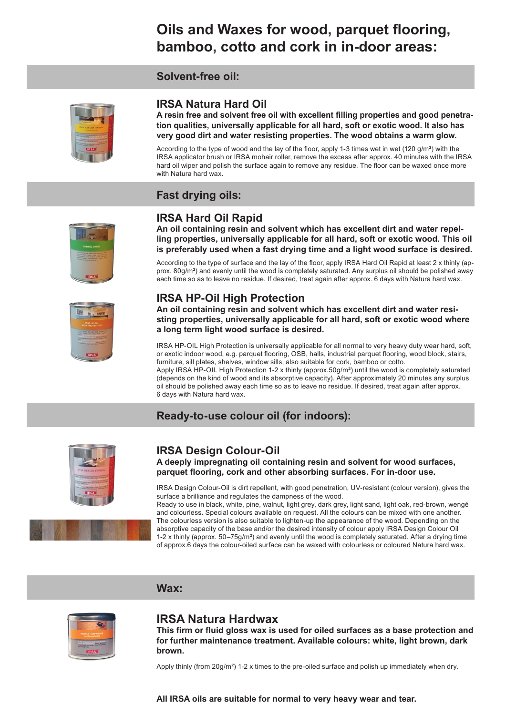# **Oils and Waxes for wood, parquet flooring, bamboo, cotto and cork in in-door areas:**

# **Solvent-free oil:**



# **IRSA Natura Hard Oil**

**A resin free and solvent free oil with excellent filling properties and good penetration qualities, universally applicable for all hard, soft or exotic wood. It also has very good dirt and water resisting properties. The wood obtains a warm glow.**

According to the type of wood and the lay of the floor, apply 1-3 times wet in wet (120 g/m²) with the IRSA applicator brush or IRSA mohair roller, remove the excess after approx. 40 minutes with the IRSA hard oil wiper and polish the surface again to remove any residue. The floor can be waxed once more with Natura hard wax.

# **Fast drying oils:**



# **IRSA Hard Oil Rapid**

**An oil containing resin and solvent which has excellent dirt and water repelling properties, universally applicable for all hard, soft or exotic wood. This oil is preferably used when a fast drying time and a light wood surface is desired.**

According to the type of surface and the lay of the floor, apply IRSA Hard Oil Rapid at least 2 x thinly (approx. 80g/m²) and evenly until the wood is completely saturated. Any surplus oil should be polished away each time so as to leave no residue. If desired, treat again after approx. 6 days with Natura hard wax.

# **IRSA HP-Oil High Protection**

**An oil containing resin and solvent which has excellent dirt and water resisting properties, universally applicable for all hard, soft or exotic wood where a long term light wood surface is desired.**

IRSA HP-OIL High Protection is universally applicable for all normal to very heavy duty wear hard, soft, or exotic indoor wood, e.g. parquet flooring, OSB, halls, industrial parquet flooring, wood block, stairs, furniture, sill plates, shelves, window sills, also suitable for cork, bamboo or cotto.

Apply IRSA HP-OIL High Protection 1-2 x thinly (approx.50g/m²) until the wood is completely saturated (depends on the kind of wood and its absorptive capacity). After approximately 20 minutes any surplus oil should be polished away each time so as to leave no residue. If desired, treat again after approx. 6 days with Natura hard wax.

# **Ready-to-use colour oil (for indoors):**



# **IRSA Design Colour-Oil**

**A deeply impregnating oil containing resin and solvent for wood surfaces, parquet flooring, cork and other absorbing surfaces. For in-door use.**

IRSA Design Colour-Oil is dirt repellent, with good penetration, UV-resistant (colour version), gives the surface a brilliance and regulates the dampness of the wood.

Ready to use in black, white, pine, walnut, light grey, dark grey, light sand, light oak, red-brown, wengé and colourless. Special colours available on request. All the colours can be mixed with one another. The colourless version is also suitable to lighten-up the appearance of the wood. Depending on the absorptive capacity of the base and/or the desired intensity of colour apply IRSA Design Colour Oil 1-2 x thinly (approx. 50–75g/m²) and evenly until the wood is completely saturated. After a drying time of approx.6 days the colour-oiled surface can be waxed with colourless or coloured Natura hard wax.

# **Wax:**



# **IRSA Natura Hardwax**

**This firm or fluid gloss wax is used for oiled surfaces as a base protection and for further maintenance treatment. Available colours: white, light brown, dark brown.**

Apply thinly (from  $20g/m<sup>2</sup>$ ) 1-2 x times to the pre-oiled surface and polish up immediately when dry.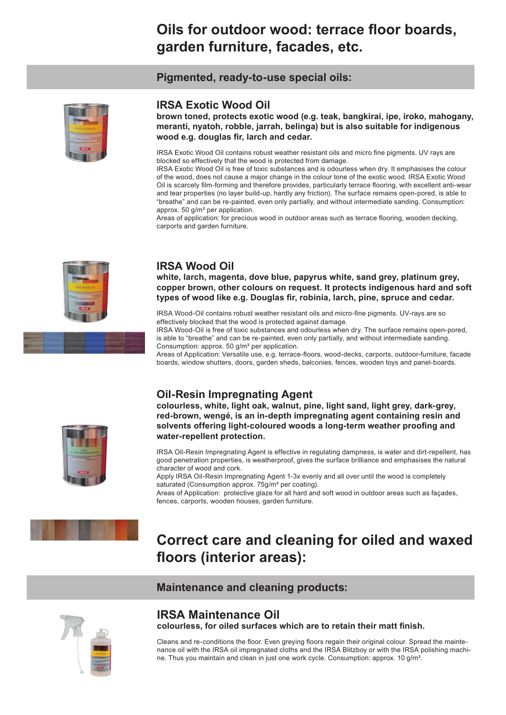# **Oils for outdoor wood: terrace floor boards, garden furniture, facades, etc.**

**Pigmented, ready-to-use special oils:**



# **IRSA Exotic Wood Oil**

**brown toned, protects exotic wood (e.g. teak, bangkirai, ipe, iroko, mahogany, meranti, nyatoh, robble, jarrah, belinga) but is also suitable for indigenous wood e.g. douglas fir, larch and cedar.**

IRSA Exotic Wood Oil contains robust weather resistant oils and micro fine pigments. UV rays are blocked so effectively that the wood is protected from damage.

IRSA Exotic Wood Oil is free of toxic substances and is odourless when dry. It emphasises the colour of the wood, does not cause a major change in the colour tone of the exotic wood. IRSA Exotic Wood Oil is scarcely film-forming and therefore provides, particularly terrace flooring, with excellent anti-wear and tear properties (no layer build-up, hardly any friction). The surface remains open-pored, is able to "breathe" and can be re-painted, even only partially, and without intermediate sanding. Consumption: approx. 50 g/m² per application.

Areas of application: for precious wood in outdoor areas such as terrace flooring, wooden decking, carports and garden furniture.



# **IRSA Wood Oil**

**white, larch, magenta, dove blue, papyrus white, sand grey, platinum grey, copper brown, other colours on request. It protects indigenous hard and soft types of wood like e.g. Douglas fir, robinia, larch, pine, spruce and cedar.**

IRSA Wood-Oil contains robust weather resistant oils and micro-fine pigments. UV-rays are so effectively blocked that the wood is protected against damage.

IRSA Wood-Oil is free of toxic substances and odourless when dry. The surface remains open-pored, is able to "breathe" and can be re-painted, even only partially, and without intermediate sanding. Consumption: approx. 50 g/m² per application.

Areas of Application: Versatile use, e.g. terrace-floors, wood-decks, carports, outdoor-furniture, facade boards, window shutters, doors, garden sheds, balconies, fences, wooden toys and panel-boards.

# **Oil-Resin Impregnating Agent**

**colourless, white, light oak, walnut, pine, light sand, light grey, dark-grey, red-brown, wengé, is an in-depth impregnating agent containing resin and solvents offering light-coloured woods a long-term weather proofing and water-repellent protection.**

IRSA Oil-Resin Impregnating Agent is effective in regulating dampness, is water and dirt-repellent, has good penetration properties, is weatherproof, gives the surface brilliance and emphasises the natural character of wood and cork.

Apply IRSA Oil-Resin Impregnating Agent 1-3x evenly and all over until the wood is completely saturated (Consumption approx. 75g/m<sup>2</sup> per coating).

Areas of Application: protective glaze for all hard and soft wood in outdoor areas such as façades, fences, carports, wooden houses, garden furniture.



**Correct care and cleaning for oiled and waxed floors (interior areas):**

# **Maintenance and cleaning products:**



# **IRSA Maintenance Oil colourless, for oiled surfaces which are to retain their matt finish.**

Cleans and re-conditions the floor. Even greying floors regain their original colour. Spread the maintenance oil with the IRSA oil impregnated cloths and the IRSA Blitzboy or with the IRSA polishing machi-

ne. Thus you maintain and clean in just one work cycle. Consumption: approx. 10 g/m².